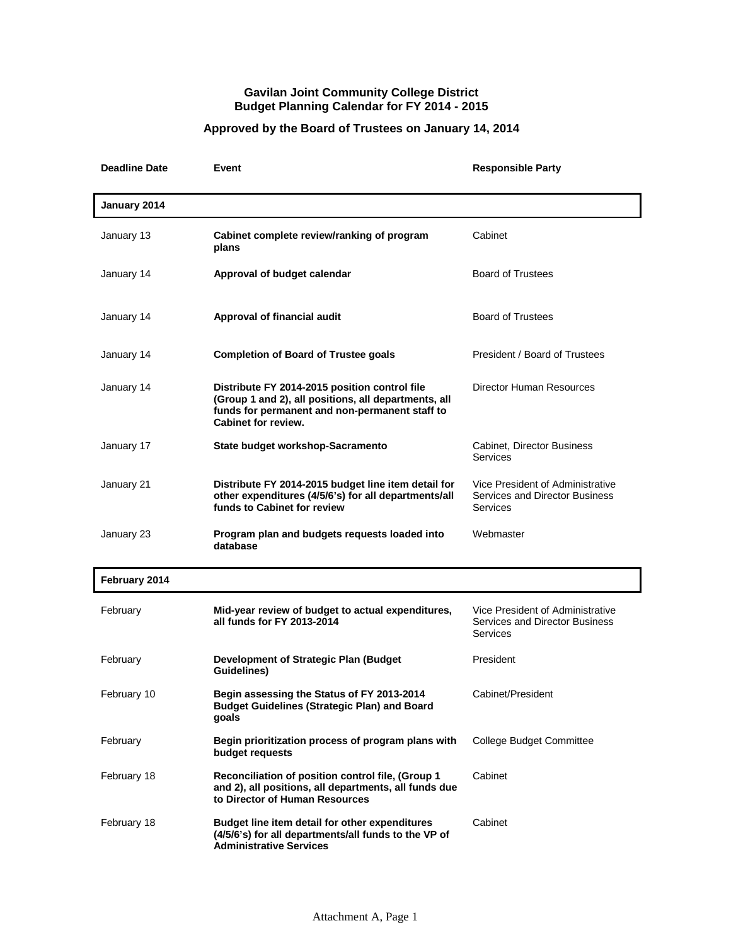## **Gavilan Joint Community College District Budget Planning Calendar for FY 2014 - 2015**

## **Approved by the Board of Trustees on January 14, 2014**

| <b>Deadline Date</b> | Event                                                                                                                                                                                 | <b>Responsible Party</b>                                                              |
|----------------------|---------------------------------------------------------------------------------------------------------------------------------------------------------------------------------------|---------------------------------------------------------------------------------------|
| January 2014         |                                                                                                                                                                                       |                                                                                       |
| January 13           | Cabinet complete review/ranking of program<br>plans                                                                                                                                   | Cabinet                                                                               |
| January 14           | Approval of budget calendar                                                                                                                                                           | <b>Board of Trustees</b>                                                              |
| January 14           | Approval of financial audit                                                                                                                                                           | <b>Board of Trustees</b>                                                              |
| January 14           | <b>Completion of Board of Trustee goals</b>                                                                                                                                           | President / Board of Trustees                                                         |
| January 14           | Distribute FY 2014-2015 position control file<br>(Group 1 and 2), all positions, all departments, all<br>funds for permanent and non-permanent staff to<br><b>Cabinet for review.</b> | Director Human Resources                                                              |
| January 17           | State budget workshop-Sacramento                                                                                                                                                      | Cabinet, Director Business<br><b>Services</b>                                         |
| January 21           | Distribute FY 2014-2015 budget line item detail for<br>other expenditures (4/5/6's) for all departments/all<br>funds to Cabinet for review                                            | Vice President of Administrative<br>Services and Director Business<br><b>Services</b> |
| January 23           | Program plan and budgets requests loaded into<br>database                                                                                                                             | Webmaster                                                                             |
| February 2014        |                                                                                                                                                                                       |                                                                                       |
| February             | Mid-year review of budget to actual expenditures,<br>all funds for FY 2013-2014                                                                                                       | Vice President of Administrative<br>Services and Director Business<br><b>Services</b> |
| February             | Development of Strategic Plan (Budget<br>Guidelines)                                                                                                                                  | President                                                                             |
| February 10          | Begin assessing the Status of FY 2013-2014<br><b>Budget Guidelines (Strategic Plan) and Board</b><br>qoals                                                                            | Cabinet/President                                                                     |
| February             | Begin prioritization process of program plans with<br>budget requests                                                                                                                 | <b>College Budget Committee</b>                                                       |
| February 18          | Reconciliation of position control file, (Group 1<br>and 2), all positions, all departments, all funds due<br>to Director of Human Resources                                          | Cabinet                                                                               |
| February 18          | Budget line item detail for other expenditures<br>(4/5/6's) for all departments/all funds to the VP of<br><b>Administrative Services</b>                                              | Cabinet                                                                               |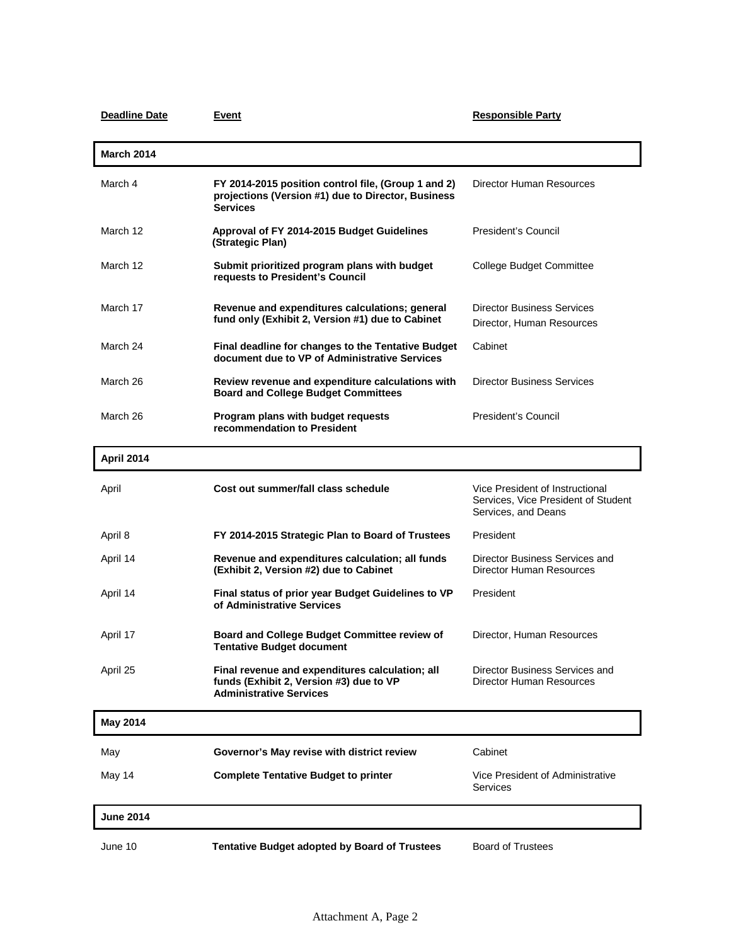| <b>Deadline Date</b> | Event                                                                                                                        | <b>Responsible Party</b>                                                                      |
|----------------------|------------------------------------------------------------------------------------------------------------------------------|-----------------------------------------------------------------------------------------------|
| <b>March 2014</b>    |                                                                                                                              |                                                                                               |
| March 4              | FY 2014-2015 position control file, (Group 1 and 2)<br>projections (Version #1) due to Director, Business<br><b>Services</b> | <b>Director Human Resources</b>                                                               |
| March 12             | Approval of FY 2014-2015 Budget Guidelines<br>(Strategic Plan)                                                               | President's Council                                                                           |
| March 12             | Submit prioritized program plans with budget<br>requests to President's Council                                              | College Budget Committee                                                                      |
| March 17             | Revenue and expenditures calculations; general<br>fund only (Exhibit 2, Version #1) due to Cabinet                           | <b>Director Business Services</b><br>Director, Human Resources                                |
| March 24             | Final deadline for changes to the Tentative Budget<br>document due to VP of Administrative Services                          | Cabinet                                                                                       |
| March 26             | Review revenue and expenditure calculations with<br><b>Board and College Budget Committees</b>                               | <b>Director Business Services</b>                                                             |
| March 26             | Program plans with budget requests<br>recommendation to President                                                            | President's Council                                                                           |
| <b>April 2014</b>    |                                                                                                                              |                                                                                               |
| April                | Cost out summer/fall class schedule                                                                                          | Vice President of Instructional<br>Services, Vice President of Student<br>Services, and Deans |
| April 8              | FY 2014-2015 Strategic Plan to Board of Trustees                                                                             | President                                                                                     |
| April 14             | Revenue and expenditures calculation; all funds<br>(Exhibit 2, Version #2) due to Cabinet                                    | Director Business Services and<br>Director Human Resources                                    |
| April 14             | Final status of prior year Budget Guidelines to VP<br>of Administrative Services                                             | President                                                                                     |
| April 17             | Board and College Budget Committee review of<br><b>Tentative Budget document</b>                                             | Director, Human Resources                                                                     |
| April 25             | Final revenue and expenditures calculation; all<br>funds (Exhibit 2, Version #3) due to VP<br><b>Administrative Services</b> | Director Business Services and<br>Director Human Resources                                    |
| <b>May 2014</b>      |                                                                                                                              |                                                                                               |
| May                  | Governor's May revise with district review                                                                                   | Cabinet                                                                                       |
| May 14               | <b>Complete Tentative Budget to printer</b>                                                                                  | Vice President of Administrative<br>Services                                                  |
| <b>June 2014</b>     |                                                                                                                              |                                                                                               |
| June 10              | <b>Tentative Budget adopted by Board of Trustees</b>                                                                         | <b>Board of Trustees</b>                                                                      |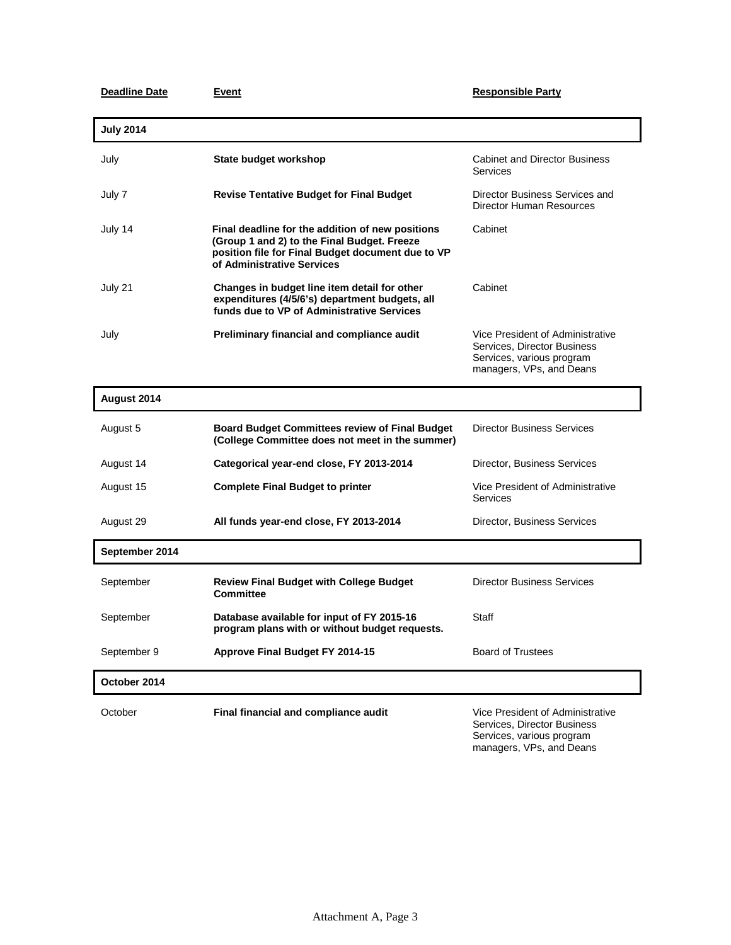## **Deadline Date Event Exercise Exercise 2 and Responsible Party**

Services, various program managers, VPs, and Deans

| <b>July 2014</b> |                                                                                                                                                                                    |                                                                                                                          |
|------------------|------------------------------------------------------------------------------------------------------------------------------------------------------------------------------------|--------------------------------------------------------------------------------------------------------------------------|
| July             | State budget workshop                                                                                                                                                              | <b>Cabinet and Director Business</b><br>Services                                                                         |
| July 7           | <b>Revise Tentative Budget for Final Budget</b>                                                                                                                                    | Director Business Services and<br>Director Human Resources                                                               |
| July 14          | Final deadline for the addition of new positions<br>(Group 1 and 2) to the Final Budget. Freeze<br>position file for Final Budget document due to VP<br>of Administrative Services | Cabinet                                                                                                                  |
| July 21          | Changes in budget line item detail for other<br>expenditures (4/5/6's) department budgets, all<br>funds due to VP of Administrative Services                                       | Cabinet                                                                                                                  |
| July             | Preliminary financial and compliance audit                                                                                                                                         | Vice President of Administrative<br>Services, Director Business<br>Services, various program<br>managers, VPs, and Deans |

| August 2014    |                                                                                                          |                                                                 |
|----------------|----------------------------------------------------------------------------------------------------------|-----------------------------------------------------------------|
| August 5       | <b>Board Budget Committees review of Final Budget</b><br>(College Committee does not meet in the summer) | <b>Director Business Services</b>                               |
| August 14      | Categorical year-end close, FY 2013-2014                                                                 | <b>Director, Business Services</b>                              |
| August 15      | <b>Complete Final Budget to printer</b>                                                                  | Vice President of Administrative<br>Services                    |
| August 29      | All funds year-end close, FY 2013-2014                                                                   | Director, Business Services                                     |
| September 2014 |                                                                                                          |                                                                 |
| September      | <b>Review Final Budget with College Budget</b><br><b>Committee</b>                                       | <b>Director Business Services</b>                               |
| September      | Database available for input of FY 2015-16<br>program plans with or without budget requests.             | Staff                                                           |
| September 9    | <b>Approve Final Budget FY 2014-15</b>                                                                   | <b>Board of Trustees</b>                                        |
| October 2014   |                                                                                                          |                                                                 |
| October        | Final financial and compliance audit                                                                     | Vice President of Administrative<br>Services, Director Business |

Attachment A, Page 3